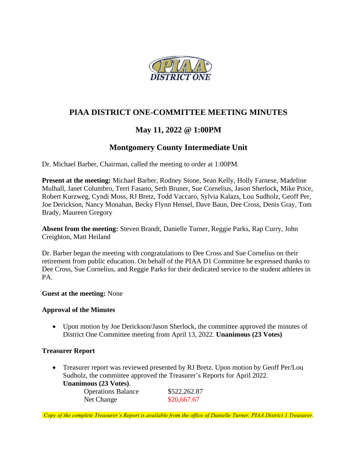

## **PIAA DISTRICT ONE-COMMITTEE MEETING MINUTES**

# **May 11, 2022 @ 1:00PM**

# **Montgomery County Intermediate Unit**

Dr. Michael Barber, Chairman, called the meeting to order at 1:00PM.

**Present at the meeting:** Michael Barber, Rodney Stone, Sean Kelly, Holly Farnese, Madeline Mulhall, Janet Columbro, Terri Fasano, Seth Bruner, Sue Cornelius, Jason Sherlock, Mike Price, Robert Kurzweg, Cyndi Moss, RJ Bretz, Todd Vaccaro, Sylvia Kalazs, Lou Sudholz, Geoff Per, Joe Derickson, Nancy Monahan, Becky Flynn Hensel, Dave Baun, Dee Cross, Denis Gray, Tom Brady, Maureen Gregory

**Absent from the meeting:** Steven Brandt, Danielle Turner, Reggie Parks, Rap Curry, John Creighton, Matt Heiland

Dr. Barber began the meeting with congratulations to Dee Cross and Sue Cornelius on their retirement from public education. On behalf of the PIAA D1 Committee he expressed thanks to Dee Cross, Sue Cornelius, and Reggie Parks for their dedicated service to the student athletes in PA.

#### **Guest at the meeting:** None

#### **Approval of the Minutes**

• Upon motion by Joe Derickson/Jason Sherlock, the committee approved the minutes of District One Committee meeting from April 13, 2022. **Unanimous (23 Votes)**

#### **Treasurer Report**

• Treasurer report was reviewed presented by RJ Bretz. Upon motion by Geoff Per/Lou Sudholz, the committee approved the Treasurer's Reports for April 2022. **Unanimous (23 Votes)**.

| $\mathbf{u}$ $\mathbf{u}$ $\mathbf{v}$ $\mathbf{u}$ $\mathbf{v}$ $\mathbf{v}$ $\mathbf{v}$ |              |
|--------------------------------------------------------------------------------------------|--------------|
| <b>Operations Balance</b>                                                                  | \$522,262.87 |
| Net Change                                                                                 | \$20,667.67  |

*Copy of the complete Treasurer's Report is available from the office of Danielle Turner, PIAA District 1 Treasurer.*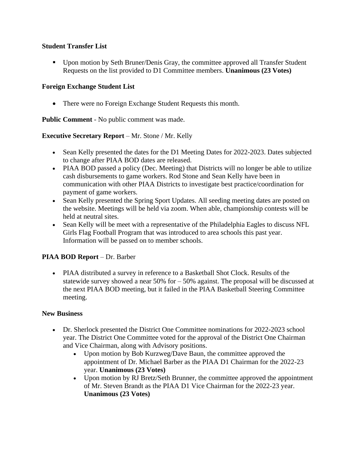### **Student Transfer List**

▪ Upon motion by Seth Bruner/Denis Gray, the committee approved all Transfer Student Requests on the list provided to D1 Committee members. **Unanimous (23 Votes)**

## **Foreign Exchange Student List**

• There were no Foreign Exchange Student Requests this month.

**Public Comment** - No public comment was made.

### **Executive Secretary Report** – Mr. Stone / Mr. Kelly

- Sean Kelly presented the dates for the D1 Meeting Dates for 2022-2023. Dates subjected to change after PIAA BOD dates are released.
- PIAA BOD passed a policy (Dec. Meeting) that Districts will no longer be able to utilize cash disbursements to game workers. Rod Stone and Sean Kelly have been in communication with other PIAA Districts to investigate best practice/coordination for payment of game workers.
- Sean Kelly presented the Spring Sport Updates. All seeding meeting dates are posted on the website. Meetings will be held via zoom. When able, championship contests will be held at neutral sites.
- Sean Kelly will be meet with a representative of the Philadelphia Eagles to discuss NFL Girls Flag Football Program that was introduced to area schools this past year. Information will be passed on to member schools.

## **PIAA BOD Report** – Dr. Barber

• PIAA distributed a survey in reference to a Basketball Shot Clock. Results of the statewide survey showed a near 50% for – 50% against. The proposal will be discussed at the next PIAA BOD meeting, but it failed in the PIAA Basketball Steering Committee meeting.

### **New Business**

- Dr. Sherlock presented the District One Committee nominations for 2022-2023 school year. The District One Committee voted for the approval of the District One Chairman and Vice Chairman, along with Advisory positions.
	- Upon motion by Bob Kurzweg/Dave Baun, the committee approved the appointment of Dr. Michael Barber as the PIAA D1 Chairman for the 2022-23 year. **Unanimous (23 Votes)**
	- Upon motion by RJ Bretz/Seth Brunner, the committee approved the appointment of Mr. Steven Brandt as the PIAA D1 Vice Chairman for the 2022-23 year. **Unanimous (23 Votes)**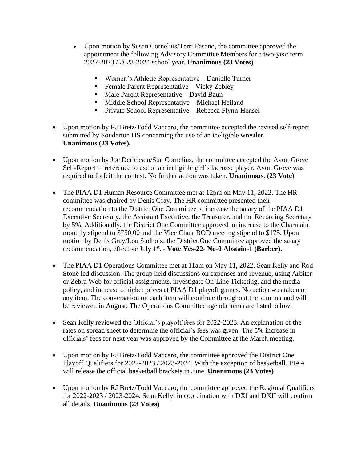- Upon motion by Susan Cornelius/Terri Fasano, the committee approved the appointment the following Advisory Committee Members for a two-year term 2022-2023 / 2023-2024 school year. **Unanimous (23 Votes)**
	- Women's Athletic Representative Danielle Turner
	- Female Parent Representative Vicky Zebley
	- Male Parent Representative David Baun
	- Middle School Representative Michael Heiland
	- Private School Representative Rebecca Flynn-Hensel
- Upon motion by RJ Bretz/Todd Vaccaro, the committee accepted the revised self-report submitted by Souderton HS concerning the use of an ineligible wrestler. **Unanimous (23 Votes).**
- Upon motion by Joe Derickson/Sue Cornelius, the committee accepted the Avon Grove Self-Report in reference to use of an ineligible girl's lacrosse player. Avon Grove was required to forfeit the contest. No further action was taken. **Unanimous. (23 Vote)**
- The PIAA D1 Human Resource Committee met at 12pm on May 11, 2022. The HR committee was chaired by Denis Gray. The HR committee presented their recommendation to the District One Committee to increase the salary of the PIAA D1 Executive Secretary, the Assistant Executive, the Treasurer, and the Recording Secretary by 5%. Additionally, the District One Committee approved an increase to the Charmain monthly stipend to \$750.00 and the Vice Chair BOD meeting stipend to \$175. Upon motion by Denis Gray/Lou Sudholz, the District One Committee approved the salary recommendation, effective July 1<sup>st</sup>. - Vote Yes-22- No-0 Abstain-1 (Barber).
- The PIAA D1 Operations Committee met at 11am on May 11, 2022. Sean Kelly and Rod Stone led discussion. The group held discussions on expenses and revenue, using Arbiter or Zebra Web for official assignments, investigate On-Line Ticketing, and the media policy, and increase of ticket prices at PIAA D1 playoff games. No action was taken on any item. The conversation on each item will continue throughout the summer and will be reviewed in August. The Operations Committee agenda items are listed below.
- Sean Kelly reviewed the Official's playoff fees for 2022-2023. An explanation of the rates on spread sheet to determine the official's fees was given. The 5% increase in officials' fees for next year was approved by the Committee at the March meeting.
- Upon motion by RJ Bretz/Todd Vaccaro, the committee approved the District One Playoff Qualifiers for 2022-2023 / 2023-2024. With the exception of basketball. PIAA will release the official basketball brackets in June. **Unanimous (23 Votes)**
- Upon motion by RJ Bretz/Todd Vaccaro, the committee approved the Regional Qualifiers for 2022-2023 / 2023-2024. Sean Kelly, in coordination with DXI and DXII will confirm all details. **Unanimous (23 Votes**)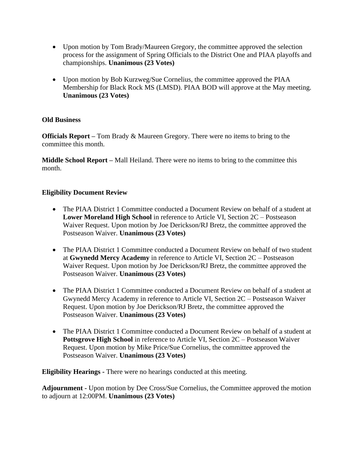- Upon motion by Tom Brady/Maureen Gregory, the committee approved the selection process for the assignment of Spring Officials to the District One and PIAA playoffs and championships. **Unanimous (23 Votes)**
- Upon motion by Bob Kurzweg/Sue Cornelius, the committee approved the PIAA Membership for Black Rock MS (LMSD). PIAA BOD will approve at the May meeting. **Unanimous (23 Votes)**

### **Old Business**

**Officials Report –** Tom Brady & Maureen Gregory. There were no items to bring to the committee this month.

**Middle School Report –** Mall Heiland. There were no items to bring to the committee this month.

## **Eligibility Document Review**

- The PIAA District 1 Committee conducted a Document Review on behalf of a student at **Lower Moreland High School** in reference to Article VI, Section 2C – Postseason Waiver Request. Upon motion by Joe Derickson/RJ Bretz, the committee approved the Postseason Waiver. **Unanimous (23 Votes)**
- The PIAA District 1 Committee conducted a Document Review on behalf of two student at **Gwynedd Mercy Academy** in reference to Article VI, Section 2C – Postseason Waiver Request. Upon motion by Joe Derickson/RJ Bretz, the committee approved the Postseason Waiver. **Unanimous (23 Votes)**
- The PIAA District 1 Committee conducted a Document Review on behalf of a student at Gwynedd Mercy Academy in reference to Article VI, Section 2C – Postseason Waiver Request. Upon motion by Joe Derickson/RJ Bretz, the committee approved the Postseason Waiver. **Unanimous (23 Votes)**
- The PIAA District 1 Committee conducted a Document Review on behalf of a student at **Pottsgrove High School** in reference to Article VI, Section 2C – Postseason Waiver Request. Upon motion by Mike Price/Sue Cornelius, the committee approved the Postseason Waiver. **Unanimous (23 Votes)**

**Eligibility Hearings -** There were no hearings conducted at this meeting.

**Adjournment -** Upon motion by Dee Cross/Sue Cornelius, the Committee approved the motion to adjourn at 12:00PM. **Unanimous (23 Votes)**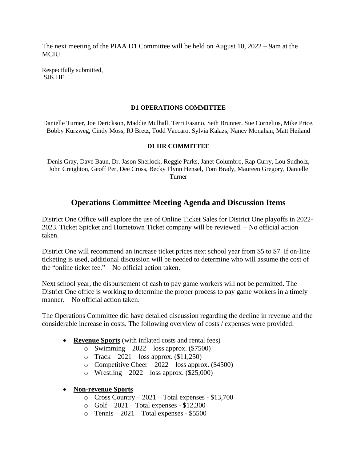The next meeting of the PIAA D1 Committee will be held on August 10, 2022 – 9am at the MCIU.

Respectfully submitted, SJK HF

#### **D1 OPERATIONS COMMITTEE**

Danielle Turner, Joe Derickson, Maddie Mulhall, Terri Fasano, Seth Brunner, Sue Cornelius, Mike Price, Bobby Kurzweg, Cindy Moss, RJ Bretz, Todd Vaccaro, Sylvia Kalazs, Nancy Monahan, Matt Heiland

#### **D1 HR COMMITTEE**

Denis Gray, Dave Baun, Dr. Jason Sherlock, Reggie Parks, Janet Columbro, Rap Curry, Lou Sudholz, John Creighton, Geoff Per, Dee Cross, Becky Flynn Hensel, Tom Brady, Maureen Gregory, Danielle Turner

## **Operations Committee Meeting Agenda and Discussion Items**

District One Office will explore the use of Online Ticket Sales for District One playoffs in 2022- 2023. Ticket Spicket and Hometown Ticket company will be reviewed. – No official action taken.

District One will recommend an increase ticket prices next school year from \$5 to \$7. If on-line ticketing is used, additional discussion will be needed to determine who will assume the cost of the "online ticket fee." – No official action taken.

Next school year, the disbursement of cash to pay game workers will not be permitted. The District One office is working to determine the proper process to pay game workers in a timely manner. – No official action taken.

The Operations Committee did have detailed discussion regarding the decline in revenue and the considerable increase in costs. The following overview of costs / expenses were provided:

- **Revenue Sports** (with inflated costs and rental fees)
	- o Swimming 2022 loss approx.  $(\$7500)$
	- $\circ$  Track 2021 loss approx. (\$11,250)
	- o Competitive Cheer 2022 loss approx.  $(\$4500)$
	- o Wrestling  $2022$  loss approx. (\$25,000)
- **Non-revenue Sports**
	- $\circ$  Cross Country 2021 Total expenses \$13,700
	- $\circ$  Golf 2021 Total expenses \$12,300
	- $\circ$  Tennis 2021 Total expenses \$5500